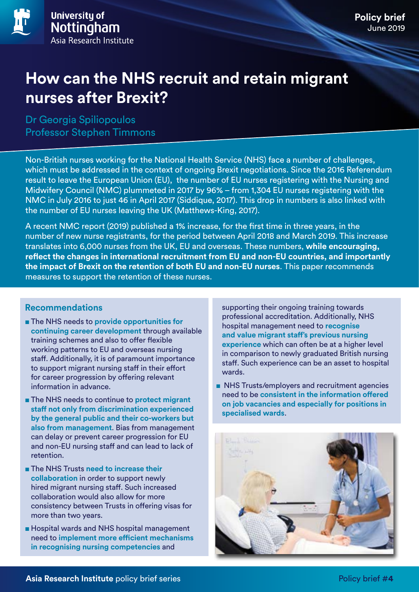# **How can the NHS recruit and retain migrant nurses after Brexit?**

Dr Georgia Spiliopoulos Professor Stephen Timmons

Non-British nurses working for the National Health Service (NHS) face a number of challenges, which must be addressed in the context of ongoing Brexit negotiations. Since the 2016 Referendum result to leave the European Union (EU), the number of EU nurses registering with the Nursing and Midwifery Council (NMC) plummeted in 2017 by 96% – from 1,304 EU nurses registering with the NMC in July 2016 to just 46 in April 2017 (Siddique, 2017). This drop in numbers is also linked with the number of EU nurses leaving the UK (Matthews-King, 2017).

A recent NMC report (2019) published a 1% increase, for the first time in three years, in the number of new nurse registrants, for the period between April 2018 and March 2019. This increase translates into 6,000 nurses from the UK, EU and overseas. These numbers, **while encouraging, reflect the changes in international recruitment from EU and non-EU countries, and importantly the impact of Brexit on the retention of both EU and non-EU nurses**. This paper recommends measures to support the retention of these nurses.

### **Recommendations**

- The NHS needs to **provide opportunities for continuing career development** through available training schemes and also to offer flexible working patterns to EU and overseas nursing staff. Additionally, it is of paramount importance to support migrant nursing staff in their effort for career progression by offering relevant information in advance.
- The NHS needs to continue to **protect migrant staff not only from discrimination experienced by the general public and their co-workers but also from management**. Bias from management can delay or prevent career progression for EU and non-EU nursing staff and can lead to lack of retention.
- The NHS Trusts **need to increase their collaboration** in order to support newly hired migrant nursing staff. Such increased collaboration would also allow for more consistency between Trusts in offering visas for more than two years.
- Hospital wards and NHS hospital management need to **implement more efficient mechanisms in recognising nursing competencies** and

supporting their ongoing training towards professional accreditation. Additionally, NHS hospital management need to **recognise and value migrant staff's previous nursing experience** which can often be at a higher level in comparison to newly graduated British nursing staff. Such experience can be an asset to hospital wards.

■ NHS Trusts/employers and recruitment agencies need to be **consistent in the information offered on job vacancies and especially for positions in specialised wards**.

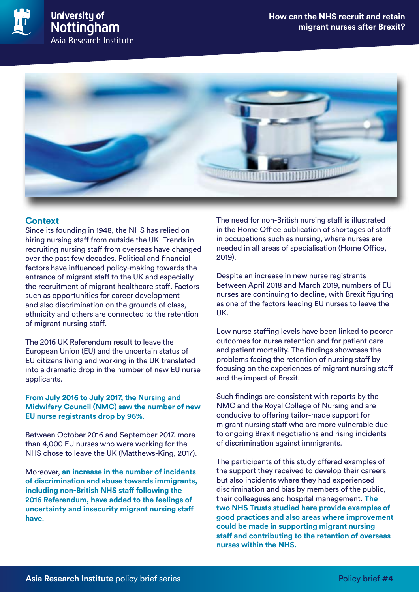

## **Context**

Since its founding in 1948, the NHS has relied on hiring nursing staff from outside the UK. Trends in recruiting nursing staff from overseas have changed over the past few decades. Political and financial factors have influenced policy-making towards the entrance of migrant staff to the UK and especially the recruitment of migrant healthcare staff. Factors such as opportunities for career development and also discrimination on the grounds of class, ethnicity and others are connected to the retention of migrant nursing staff.

The 2016 UK Referendum result to leave the European Union (EU) and the uncertain status of EU citizens living and working in the UK translated into a dramatic drop in the number of new EU nurse applicants.

#### **From July 2016 to July 2017, the Nursing and Midwifery Council (NMC) saw the number of new EU nurse registrants drop by 96%**.

Between October 2016 and September 2017, more than 4,000 EU nurses who were working for the NHS chose to leave the UK (Matthews-King, 2017).

Moreover, **an increase in the number of incidents of discrimination and abuse towards immigrants, including non-British NHS staff following the 2016 Referendum, have added to the feelings of uncertainty and insecurity migrant nursing staff have**.

The need for non-British nursing staff is illustrated in the Home Office publication of shortages of staff in occupations such as nursing, where nurses are needed in all areas of specialisation (Home Office, 2019).

Despite an increase in new nurse registrants between April 2018 and March 2019, numbers of EU nurses are continuing to decline, with Brexit figuring as one of the factors leading EU nurses to leave the UK.

Low nurse staffing levels have been linked to poorer outcomes for nurse retention and for patient care and patient mortality. The findings showcase the problems facing the retention of nursing staff by focusing on the experiences of migrant nursing staff and the impact of Brexit.

Such findings are consistent with reports by the NMC and the Royal College of Nursing and are conducive to offering tailor-made support for migrant nursing staff who are more vulnerable due to ongoing Brexit negotiations and rising incidents of discrimination against immigrants.

The participants of this study offered examples of the support they received to develop their careers but also incidents where they had experienced discrimination and bias by members of the public, their colleagues and hospital management. **The two NHS Trusts studied here provide examples of good practices and also areas where improvement could be made in supporting migrant nursing staff and contributing to the retention of overseas nurses within the NHS.**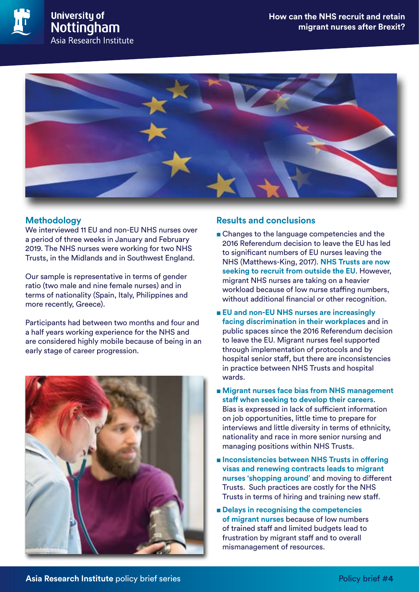

## **Methodology**

We interviewed 11 EU and non-EU NHS nurses over a period of three weeks in January and February 2019. The NHS nurses were working for two NHS Trusts, in the Midlands and in Southwest England.

Our sample is representative in terms of gender ratio (two male and nine female nurses) and in terms of nationality (Spain, Italy, Philippines and more recently, Greece).

Participants had between two months and four and a half years working experience for the NHS and are considered highly mobile because of being in an early stage of career progression.



## **Results and conclusions**

- Changes to the language competencies and the 2016 Referendum decision to leave the EU has led to significant numbers of EU nurses leaving the NHS (Matthews-King, 2017). **NHS Trusts are now seeking to recruit from outside the EU**. However, migrant NHS nurses are taking on a heavier workload because of low nurse staffing numbers, without additional financial or other recognition.
- **EU** and non-EU NHS nurses are increasingly **facing discrimination in their workplaces** and in public spaces since the 2016 Referendum decision to leave the EU. Migrant nurses feel supported through implementation of protocols and by hospital senior staff, but there are inconsistencies in practice between NHS Trusts and hospital wards.
- Migrant nurses face bias from NHS management **staff when seeking to develop their careers**. Bias is expressed in lack of sufficient information on job opportunities, little time to prepare for interviews and little diversity in terms of ethnicity, nationality and race in more senior nursing and managing positions within NHS Trusts.
- **Inconsistencies between NHS Trusts in offering visas and renewing contracts leads to migrant nurses 'shopping around'** and moving to different Trusts. Such practices are costly for the NHS Trusts in terms of hiring and training new staff.
- **Delays in recognising the competencies of migrant nurses** because of low numbers of trained staff and limited budgets lead to frustration by migrant staff and to overall mismanagement of resources.